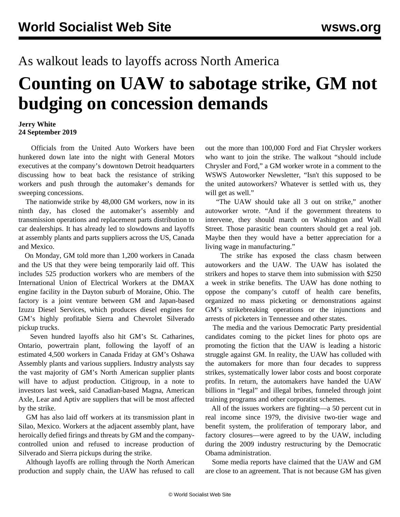## As walkout leads to layoffs across North America

## **Counting on UAW to sabotage strike, GM not budging on concession demands**

## **Jerry White 24 September 2019**

 Officials from the United Auto Workers have been hunkered down late into the night with General Motors executives at the company's downtown Detroit headquarters discussing how to beat back the resistance of striking workers and push through the automaker's demands for sweeping concessions.

 The nationwide strike by 48,000 GM workers, now in its ninth day, has closed the automaker's assembly and transmission operations and replacement parts distribution to car dealerships. It has already led to slowdowns and layoffs at assembly plants and parts suppliers across the US, Canada and Mexico.

 On Monday, GM told more than 1,200 workers in Canada and the US that they were being temporarily laid off. This includes 525 production workers who are members of the International Union of Electrical Workers at the DMAX engine facility in the Dayton suburb of Moraine, Ohio. The factory is a joint venture between GM and Japan-based Izuzu Diesel Services, which produces diesel engines for GM's highly profitable Sierra and Chevrolet Silverado pickup trucks.

 Seven hundred layoffs also hit GM's St. Catharines, Ontario, powertrain plant, following the layoff of an estimated 4,500 workers in Canada Friday at GM's Oshawa Assembly plants and various suppliers. Industry analysts say the vast majority of GM's North American supplier plants will have to adjust production. Citigroup, in a note to investors last week, said Canadian-based Magna, American Axle, Lear and Aptiv are suppliers that will be most affected by the strike.

 GM has also laid off workers at its transmission plant in Silao, Mexico. Workers at the adjacent assembly plant, have [heroically](/en/articles/2019/09/23/sila-s23.html) defied firings and threats by GM and the companycontrolled union and refused to increase production of Silverado and Sierra pickups during the strike.

 Although layoffs are rolling through the North American production and supply chain, the UAW has refused to call out the more than 100,000 Ford and Fiat Chrysler workers who want to join the strike. The walkout "should include Chrysler and Ford," a GM worker wrote in a comment to the WSWS Autoworker Newsletter, "Isn't this supposed to be the united autoworkers? Whatever is settled with us, they will get as well."

 "The UAW should take all 3 out on strike," another autoworker wrote. "And if the government threatens to intervene, they should march on Washington and Wall Street. Those parasitic bean counters should get a real job. Maybe then they would have a better appreciation for a living wage in manufacturing."

 The strike has [exposed](/en/articles/2019/09/23/pers-s23.html) the class chasm between autoworkers and the UAW. The UAW has isolated the strikers and hopes to starve them into submission with \$250 a week in strike benefits. The UAW has done nothing to oppose the company's cutoff of health care benefits, organized no mass picketing or demonstrations against GM's strikebreaking operations or the injunctions and arrests of picketers in Tennessee and other states.

 The media and the various Democratic Party presidential candidates coming to the picket lines for photo ops are promoting the fiction that the UAW is leading a historic struggle against GM. In reality, the UAW has colluded with the automakers for more than four decades to suppress strikes, systematically lower labor costs and boost corporate profits. In return, the automakers have handed the UAW billions in "legal" and illegal bribes, funneled through joint training programs and other corporatist schemes.

 All of the issues workers are fighting—a 50 percent cut in real income since 1979, the divisive two-tier wage and benefit system, the proliferation of temporary labor, and factory closures—were agreed to by the UAW, including during the 2009 industry restructuring by the Democratic Obama administration.

 Some media reports have claimed that the UAW and GM are close to an agreement. That is not because GM has given